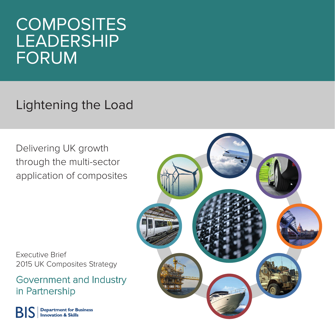# **COMPOSITES** LEADERSHIP FORUM

Lightening the Load

Delivering UK growth through the multi-sector application of composites



Executive Brief 2015 UK Composites Strategy

Government and Industry in Partnership

**Department for Business** R **Innovation & Skills**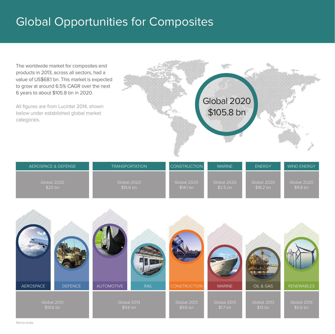### Global Opportunities for Composites

The worldwide market for composites end products in 2013, across all sectors, had a value of US\$68.1 bn. This market is expected to grow at around 6.5% CAGR over the next 6 years to about \$105.8 bn in 2020.

All figures are from Lucintel 2014, shown below under established global market categories.



| AEROSPACE & DEFENSE | <b>TRANSPORTATION</b> | <b>CONSTRUCTION</b> | <b>MARINE</b> | <b>ENERGY</b> | <b>WIND ENERGY</b>  |
|---------------------|-----------------------|---------------------|---------------|---------------|---------------------|
| Global 2020         | Global 2020           | Global 2020         | Global 2020   | Global 2020   | Global 2020         |
| \$20 br             | \$15.6 <sub>bn</sub>  | \$14.1 bn           | $$2.5$ bn     | \$18.2 bn     | \$9.8 <sub>bn</sub> |

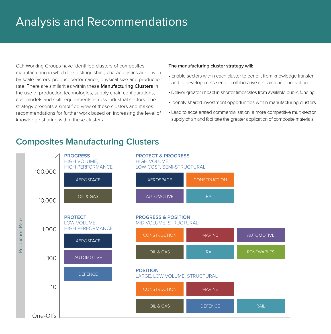### Analysis and Recommendations

CLF Working Groups have identified clusters of composites manufacturing in which the distinguishing characteristics are driven by scale factors: product performance, physical size and production rate. There are similarities within these **Manufacturing Clusters** in the use of production technologies, supply chain configurations, cost models and skill requirements across industrial sectors. The strategy presents a simplified view of these clusters and makes recommendations for further work based on increasing the level of knowledge sharing within these clusters.

#### **The manufacturing cluster strategy will:**

- Enable sectors within each cluster to benefit from knowledge transfer and to develop cross-sector, collaborative research and innovation
- Deliver greater impact in shorter timescales from available public funding
- Identify shared investment opportunities within manufacturing clusters
- Lead to accelerated commercialisation, a more competitive multi-sector supply chain and facilitate the greater application of composite materials

#### **Composites Manufacturing Clusters**

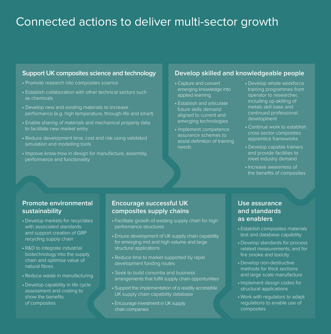### Connected actions to deliver multi-sector growth

#### **Support UK composites science and technology**

- Promote research into composites science
- Establish collaboration with other technical sectors such as chemicals
- Develop new and existing materials to increase performance (e.g. high temperature, through-life and smart)
- Enable sharing of materials and mechanical property data to facilitate new market entry
- Reduce development time, cost and risk using validated simulation and modelling tools
- Improve know-how in design for manufacture, assembly, performance and functionality

#### **Develop skilled and knowledgeable people**

- Capture and convert emerging knowledge into applied learning
- Establish and articulate future skills demand aligned to current and emerging technologies
- Implement competence assurance schemes to assist definition of training needs
- Develop whole workforce training programmes from operator to researcher, including up-skilling of metals skill base and continued professional development
- Continue work to establish cross sector composites apprentice frameworks
- Develop capable trainers and provide facilities to meet industry demand
- Increase awareness of the benefits of composites

#### **Promote environmental sustainability**

- Develop markets for recyclates with associated standards and support creation of GRP recycling supply chain
- R&D to integrate industrial biotechnology into the supply chain and optimise value of natural fibres
- Reduce waste in manufacturing
- Develop capability in life cycle assessment and costing to show the benefits of composites

#### **Encourage successful UK composites supply chains**

- Facilitate growth of existing supply chain for high performance structures
- Ensure development of UK supply chain capability for emerging mid and high volume and large structural applications
- Reduce time to market supported by rapid development funding routes
- Seek to build consortia and business arrangements that fulfill supply chain opportunities
- Support the implementation of a readily accessible UK supply chain capability database
- Encourage investment in UK supply chain companies

#### **Use assurance and standards as enablers**

- Establish composites materials test and database capability
- Develop standards for process related measurements; and for fire smoke and toxicity
- Develop non-destructive methods for thick sections and large scale manufacture
- Implement design codes for structural applications
- Work with regulators to adapt regulations to enable use of composites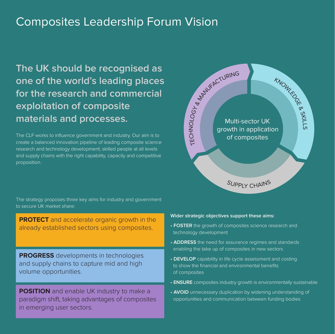### Composites Leadership Forum Vision

**The UK should be recognised as one of the world's leading places for the research and commercial exploitation of composite materials and processes.** Multi-sector UK

The CLF works to influence government and industry. Our aim is to create a balanced innovation pipeline of leading composite science research and technology development; skilled people at all levels and supply chains with the right capability, capacity and competitive proposition.

The strategy proposes three key aims for industry and government to secure UK market share:

**PROTECT** and accelerate organic growth in the already established sectors using composites.

**PROGRESS** developments in technologies and supply chains to capture mid and high volume opportunities.

**POSITION** and enable UK industry to make a paradigm shift, taking advantages of composites in emerging user sectors.

### growth in application of composites **KNOWLEDGE** & STIN<sub>S</sub> TEC H  $\mathsf{z}$  $\overline{\circ}$ **LOGY ANTIVERING** <sup>S</sup>UPPL<sup>Y</sup> <sup>C</sup>HAIN<sup>S</sup>

#### **Wider strategic objectives support these aims:**

- **FOSTER** the growth of composites science research and technology development
- **ADDRESS** the need for assurance regimes and standards enabling the take up of composites in new sectors
- **DEVELOP** capability in life cycle assessment and costing to show the financial and environmental benefits of composites
- **ENSURE** composites industry growth is environmentally sustainable
- **AVOID** unnecessary duplication by widening understanding of opportunities and communication between funding bodies